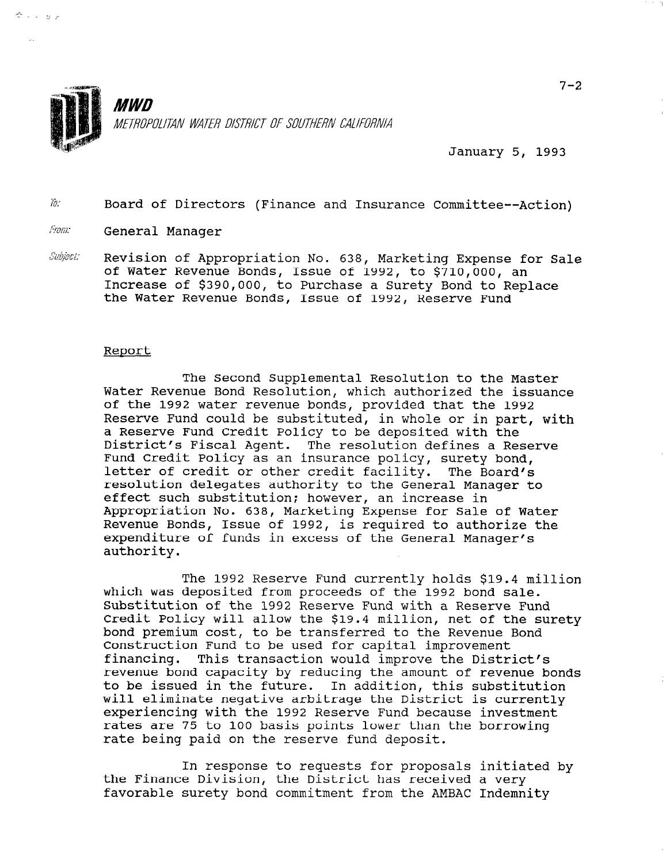

January 5, 1993

 $\bar{h}$ : Board of Directors (Finance and Insurance Committee--Action)

From: General Manager

 $\tilde{\mathbb{C}}\rightarrow \mathbb{C}$  by  $\mathbb{R}$ 

Subject: Revision of Appropriation No. 638, Marketing Expense for Sale of Water Revenue Bonds, Issue of 1992, to \$710,000, an Increase of \$390,000, to Purchase a Surety Bond to Replace the Water Revenue Bonds, Issue of 1992, Reserve Fund

## Report

The Second Supplemental Resolution to the Master Water Revenue Bond Resolution, which authorized the issue Resolution, which authorized the issue water kevenue bond kesorution, which authorized the 1ss of the 1992 water revenue bonds, provided that the 1992 Reserve Fund could be substituted, in whole or in part, with a Reserve Fund Credit Policy to be deposited with the District's Fiscal Agent. The resolution defines a Reserve Fund Credit Policy as an insurance policy, surety bond, letter of credit or other credit facility. The Board's resolution delegates authority to the General Manager to effect such substitution; however, an increase in Appropriation No. 638, Marketing Expense for Sale of Water Revenue Bonds, Issue of 1992, is required to authorize the expenditure of funds in excess of the General Manager's authority.

The 1992 Reserve Fund currently holds \$19.4 million which was deposited from proceeds of the 1992 bond sale. Substitution of the 1992 Reserve Fund with a Reserve Fund Credit Policy will allow the \$19.4 million, net of the surety bond premium cost, to be transferred to the Revenue Bond Construction Fund to be used for capital improvement financing. This transaction would improve the District's revenue bond capacity by reducing the amount of revenue bonds to be issued in the future. In addition, this substitution will eliminate negative arbitrage the District is currently experiencing with the 1992 Reserve Fund because investment rates are 75 to 100 basis points lower than the borrowing rate being paid on the reserve fund deposit.

In response to requests for proposals initiated by the Finance Division, the District has received a very favorable surety bond commitment from the AMBAC Indemnity

In response to requests for proposals initiated by